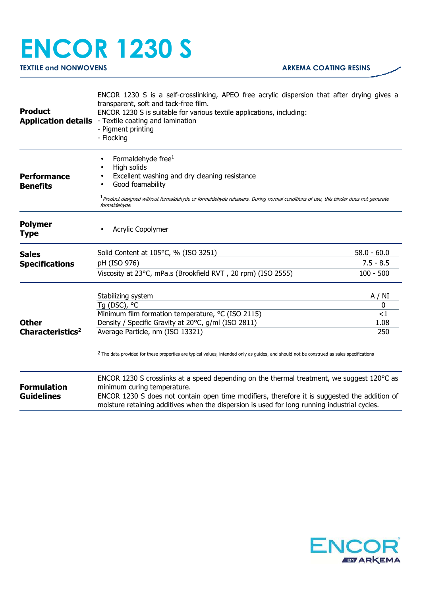## **ENCOR 1230 S**

**TEXTILE and NONWOVENS ARKEMA COATING RESINS** 

| <b>Product</b>                          | ENCOR 1230 S is a self-crosslinking, APEO free acrylic dispersion that after drying gives a<br>transparent, soft and tack-free film.<br>ENCOR 1230 S is suitable for various textile applications, including:<br><b>Application details</b> - Textile coating and lamination<br>- Pigment printing<br>- Flocking          |               |
|-----------------------------------------|---------------------------------------------------------------------------------------------------------------------------------------------------------------------------------------------------------------------------------------------------------------------------------------------------------------------------|---------------|
| <b>Performance</b><br><b>Benefits</b>   | Formaldehyde free <sup>1</sup><br>High solids<br>Excellent washing and dry cleaning resistance<br>Good foamability<br><sup>1</sup> Product designed without formaldehyde or formaldehyde releasers. During normal conditions of use, this binder does not generate<br>formaldehyde.                                       |               |
| <b>Polymer</b><br><b>Type</b>           | Acrylic Copolymer                                                                                                                                                                                                                                                                                                         |               |
| <b>Sales</b>                            | Solid Content at 105°C, % (ISO 3251)                                                                                                                                                                                                                                                                                      | $58.0 - 60.0$ |
| <b>Specifications</b>                   | pH (ISO 976)                                                                                                                                                                                                                                                                                                              | $7.5 - 8.5$   |
|                                         | Viscosity at 23°C, mPa.s (Brookfield RVT, 20 rpm) (ISO 2555)                                                                                                                                                                                                                                                              | $100 - 500$   |
|                                         | Stabilizing system<br>Tg (DSC), °C                                                                                                                                                                                                                                                                                        | A / NI<br>0   |
|                                         | Minimum film formation temperature, °C (ISO 2115)                                                                                                                                                                                                                                                                         | $<$ 1         |
| <b>Other</b>                            | Density / Specific Gravity at 20°C, g/ml (ISO 2811)                                                                                                                                                                                                                                                                       | 1.08          |
| Characteristics <sup>2</sup>            | Average Particle, nm (ISO 13321)                                                                                                                                                                                                                                                                                          | 250           |
|                                         | <sup>2</sup> The data provided for these properties are typical values, intended only as guides, and should not be construed as sales specifications                                                                                                                                                                      |               |
| <b>Formulation</b><br><b>Guidelines</b> | ENCOR 1230 S crosslinks at a speed depending on the thermal treatment, we suggest 120°C as<br>minimum curing temperature.<br>ENCOR 1230 S does not contain open time modifiers, therefore it is suggested the addition of<br>moisture retaining additives when the dispersion is used for long running industrial cycles. |               |